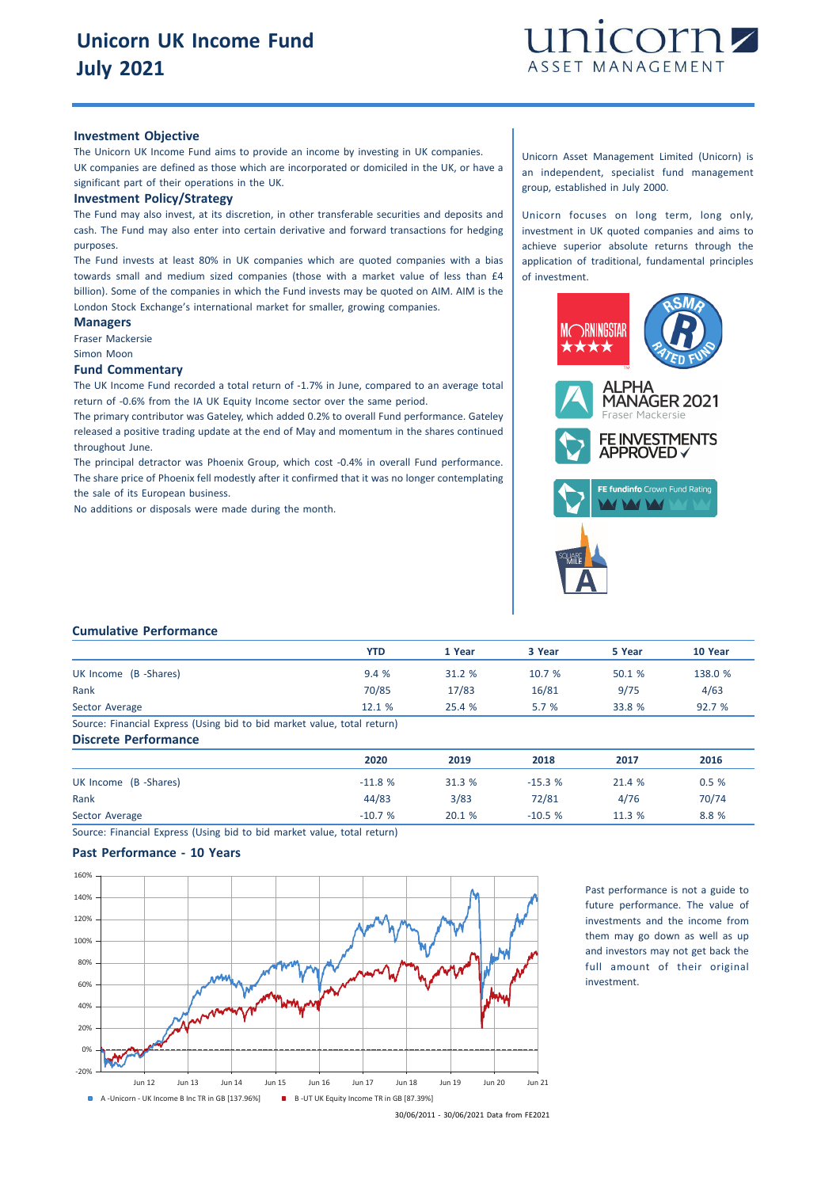

#### **Investment Objective**

The Unicorn UK Income Fund aims to provide an income by investing in UK companies. UK companies are defined as those which are incorporated or domiciled in the UK, or have a significant part of their operations in the UK.

#### **Investment Policy/Strategy**

The Fund may also invest, at its discretion, in other transferable securities and deposits and cash. The Fund may also enter into certain derivative and forward transactions for hedging purposes.

The Fund invests at least 80% in UK companies which are quoted companies with a bias towards small and medium sized companies (those with a market value of less than £4 billion). Some of the companies in which the Fund invests may be quoted on AIM. AIM is the London Stock Exchange's international market for smaller, growing companies.

# **Managers**

Fraser Mackersie Simon Moon

**Fund Commentary**

The UK Income Fund recorded a total return of -1.7% in June, compared to an average total return of -0.6% from the IA UK Equity Income sector over the same period.

The primary contributor was Gateley, which added 0.2% to overall Fund performance. Gateley released a positive trading update at the end of May and momentum in the shares continued throughout June.

The principal detractor was Phoenix Group, which cost -0.4% in overall Fund performance. The share price of Phoenix fell modestly after it confirmed that it was no longer contemplating the sale of its European business.

No additions or disposals were made during the month.

Unicorn Asset Management Limited (Unicorn) is an independent, specialist fund management group, established in July 2000.

Unicorn focuses on long term, long only, investment in UK quoted companies and aims to achieve superior absolute returns through the application of traditional, fundamental principles of investment.



### **Cumulative Performance**

|                                                                         | <b>YTD</b> | 1 Year | 3 Year | 5 Year | 10 Year |
|-------------------------------------------------------------------------|------------|--------|--------|--------|---------|
| UK Income (B -Shares)                                                   | 9.4%       | 31.2 % | 10.7%  | 50.1%  | 138.0 % |
| Rank                                                                    | 70/85      | 17/83  | 16/81  | 9/75   | 4/63    |
| Sector Average                                                          | 12.1%      | 25.4%  | 5.7%   | 33.8 % | 92.7 %  |
| Source: Financial Express (Using bid to bid market value, total return) |            |        |        |        |         |

#### **Discrete Performance**

|                       | 2020     | 2019   | 2018     | 2017   | 2016  |
|-----------------------|----------|--------|----------|--------|-------|
| UK Income (B -Shares) | $-11.8%$ | 31.3 % | $-15.3%$ | 21.4 % | 0.5%  |
| Rank                  | 44/83    | 3/83   | 72/81    | 4/76   | 70/74 |
| Sector Average        | $-10.7%$ | 20.1 % | $-10.5%$ | 11.3 % | 8.8%  |

Source: Financial Express (Using bid to bid market value, total return)

# **Past Performance - 10 Years**



Past performance is not a guide to future performance. The value of investments and the income from them may go down as well as up and investors may not get back the full amount of their original investment.

<sup>30/06/2011</sup> - 30/06/2021 Data from FE2021